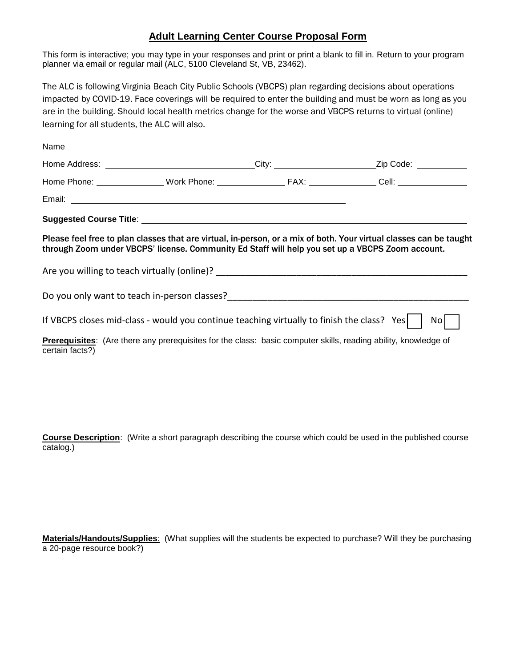## **Adult Learning Center Course Proposal Form**

This form is interactive; you may type in your responses and print or print a blank to fill in. Return to your program planner via email or regular mail (ALC, 5100 Cleveland St, VB, 23462).

The ALC is following Virginia Beach City Public Schools (VBCPS) plan regarding decisions about operations impacted by COVID-19. Face coverings will be required to enter the building and must be worn as long as you are in the building. Should local health metrics change for the worse and VBCPS returns to virtual (online) learning for all students, the ALC will also.

|                 | Name and the contract of the contract of the contract of the contract of the contract of the contract of the contract of the contract of the contract of the contract of the contract of the contract of the contract of the c |                                                                                                                    |
|-----------------|--------------------------------------------------------------------------------------------------------------------------------------------------------------------------------------------------------------------------------|--------------------------------------------------------------------------------------------------------------------|
|                 |                                                                                                                                                                                                                                | Home Address: ________________________________City: ________________________Zip Code: ______________               |
|                 |                                                                                                                                                                                                                                |                                                                                                                    |
|                 |                                                                                                                                                                                                                                |                                                                                                                    |
|                 |                                                                                                                                                                                                                                |                                                                                                                    |
|                 | through Zoom under VBCPS' license. Community Ed Staff will help you set up a VBCPS Zoom account.                                                                                                                               | Please feel free to plan classes that are virtual, in-person, or a mix of both. Your virtual classes can be taught |
|                 |                                                                                                                                                                                                                                |                                                                                                                    |
|                 |                                                                                                                                                                                                                                |                                                                                                                    |
|                 | If VBCPS closes mid-class - would you continue teaching virtually to finish the class? Yes $\vert \vert$                                                                                                                       | Nol                                                                                                                |
| certain facts?) | Prerequisites: (Are there any prerequisites for the class: basic computer skills, reading ability, knowledge of                                                                                                                |                                                                                                                    |

**Course Description**: (Write a short paragraph describing the course which could be used in the published course catalog.)

**Materials/Handouts/Supplies**: (What supplies will the students be expected to purchase? Will they be purchasing a 20-page resource book?)